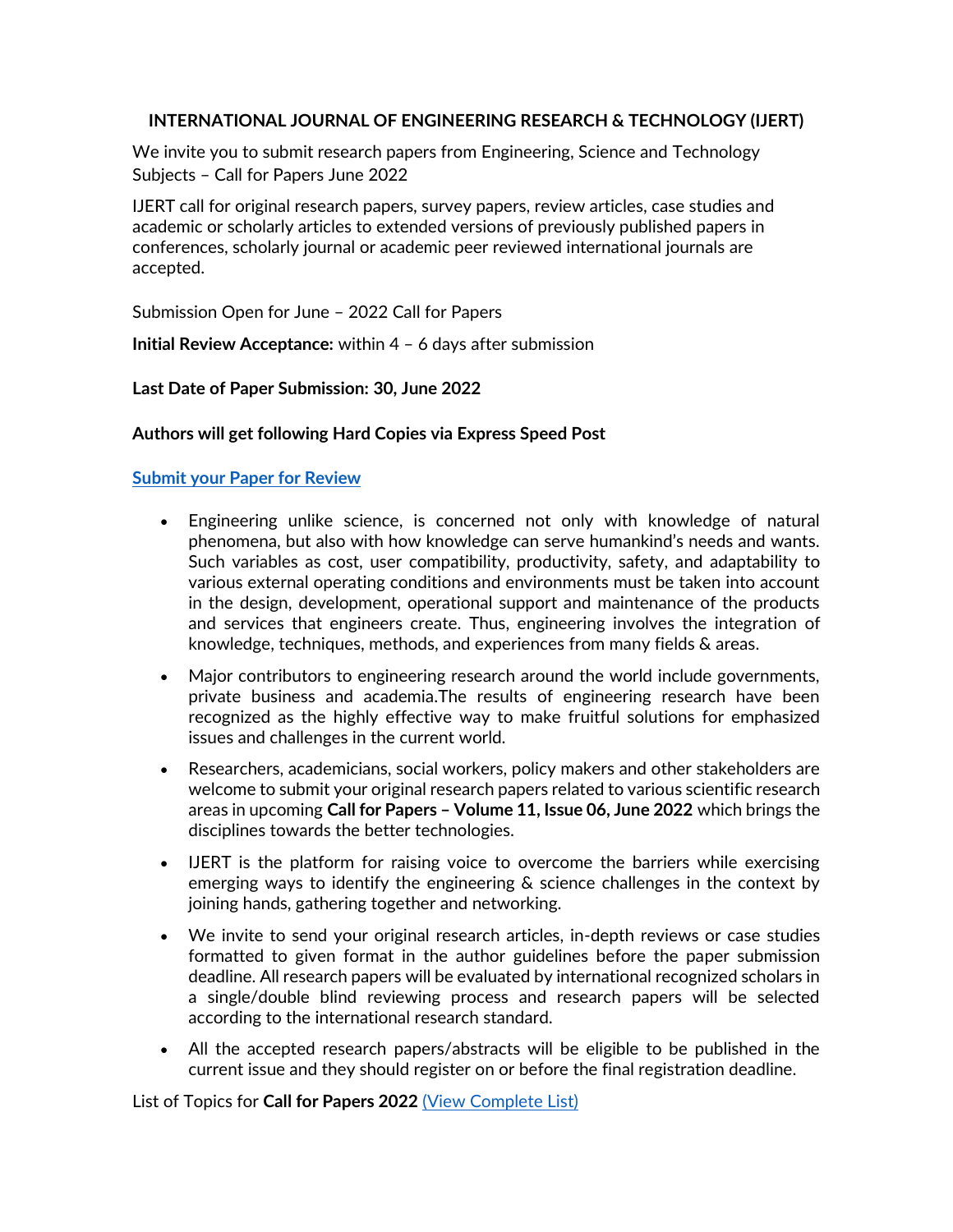## **INTERNATIONAL JOURNAL OF ENGINEERING RESEARCH & TECHNOLOGY (IJERT)**

We invite you to submit research papers from Engineering, Science and Technology Subjects – Call for Papers June 2022

IJERT call for original research papers, survey papers, review articles, case studies and academic or scholarly articles to extended versions of previously published papers in conferences, scholarly journal or academic peer reviewed international journals are accepted.

Submission Open for June – 2022 Call for Papers

**Initial Review Acceptance:** within 4 – 6 days after submission

### **Last Date of Paper Submission: 30, June 2022**

### **Authors will get following Hard Copies via Express Speed Post**

### **[Submit your Paper for Review](https://ems.ijert.org/submit-manuscript)**

- Engineering unlike science, is concerned not only with knowledge of natural phenomena, but also with how knowledge can serve humankind's needs and wants. Such variables as cost, user compatibility, productivity, safety, and adaptability to various external operating conditions and environments must be taken into account in the design, development, operational support and maintenance of the products and services that engineers create. Thus, engineering involves the integration of knowledge, techniques, methods, and experiences from many fields & areas.
- Major contributors to engineering research around the world include governments, private business and academia.The results of engineering research have been recognized as the highly effective way to make fruitful solutions for emphasized issues and challenges in the current world.
- Researchers, academicians, social workers, policy makers and other stakeholders are welcome to submit your original research papers related to various scientific research areas in upcoming **Call for Papers – Volume 11, Issue 06, June 2022** which brings the disciplines towards the better technologies.
- IJERT is the platform for raising voice to overcome the barriers while exercising emerging ways to identify the engineering & science challenges in the context by joining hands, gathering together and networking.
- We invite to send your original research articles, in-depth reviews or case studies formatted to given format in the author guidelines before the paper submission deadline. All research papers will be evaluated by international recognized scholars in a single/double blind reviewing process and research papers will be selected according to the international research standard.
- All the accepted research papers/abstracts will be eligible to be published in the current issue and they should register on or before the final registration deadline.

List of Topics for **Call for Papers 2022** [\(View Complete List\)](https://www.ijert.org/topics)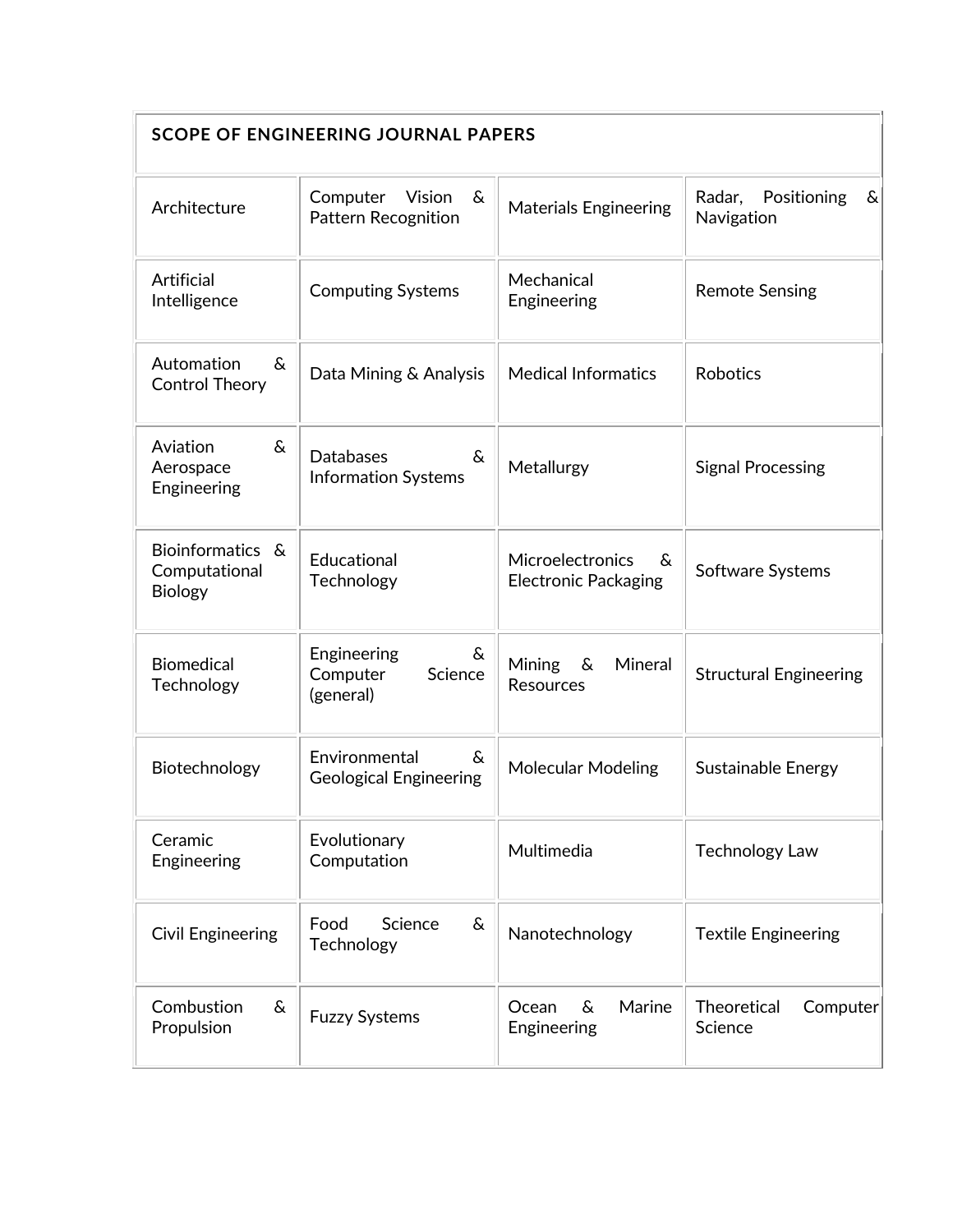| <b>SCOPE OF ENGINEERING JOURNAL PAPERS</b>          |                                                            |                                                       |                                          |  |  |  |
|-----------------------------------------------------|------------------------------------------------------------|-------------------------------------------------------|------------------------------------------|--|--|--|
| Architecture                                        | Computer Vision<br>ିଧ<br><b>Pattern Recognition</b>        | <b>Materials Engineering</b>                          | Positioning<br>Radar,<br>&<br>Navigation |  |  |  |
| <b>Artificial</b><br>Intelligence                   | <b>Computing Systems</b>                                   | Mechanical<br>Engineering                             | <b>Remote Sensing</b>                    |  |  |  |
| Automation<br>$\delta$<br><b>Control Theory</b>     | Data Mining & Analysis                                     | <b>Medical Informatics</b>                            | <b>Robotics</b>                          |  |  |  |
| &<br>Aviation<br>Aerospace<br>Engineering           | <b>Databases</b><br>$\delta$<br><b>Information Systems</b> | Metallurgy                                            | <b>Signal Processing</b>                 |  |  |  |
| Bioinformatics &<br>Computational<br><b>Biology</b> | Educational<br>Technology                                  | Microelectronics<br>ିଧ<br><b>Electronic Packaging</b> | Software Systems                         |  |  |  |
| <b>Biomedical</b><br>Technology                     | Engineering<br>&<br>Science<br>Computer<br>(general)       | Mineral<br>Mining<br>&<br><b>Resources</b>            | <b>Structural Engineering</b>            |  |  |  |
| Biotechnology                                       | Environmental<br>&.<br><b>Geological Engineering</b>       | <b>Molecular Modeling</b><br>Sustainable Energy       |                                          |  |  |  |
| Ceramic<br>Engineering                              | Evolutionary<br>Computation                                | Multimedia<br><b>Technology Law</b>                   |                                          |  |  |  |
| <b>Civil Engineering</b>                            | &<br>Food<br>Science<br>Technology                         | Nanotechnology                                        | <b>Textile Engineering</b>               |  |  |  |
| Combustion<br>&<br>Propulsion                       | <b>Fuzzy Systems</b>                                       | Marine<br>&<br>Ocean<br>Engineering                   | Theoretical<br>Computer<br>Science       |  |  |  |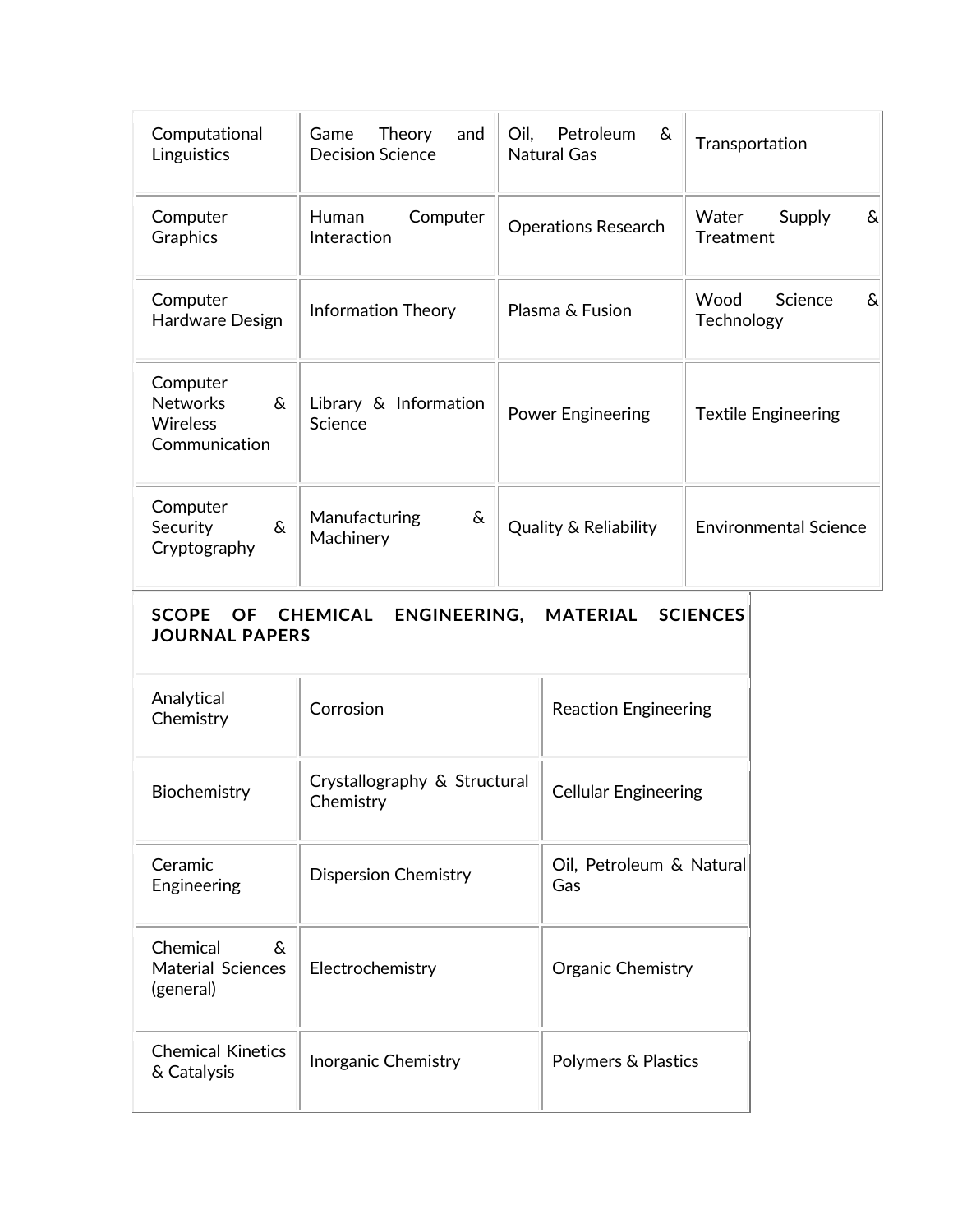| Computational<br>Linguistics                                                                                                | Theory<br>Game<br>and<br><b>Decision Science</b> | Petroleum<br>Oil,<br>&<br><b>Natural Gas</b> |                                 | Transportation                           |  |  |
|-----------------------------------------------------------------------------------------------------------------------------|--------------------------------------------------|----------------------------------------------|---------------------------------|------------------------------------------|--|--|
| Computer<br>Graphics                                                                                                        | Computer<br>Human<br>Interaction                 | <b>Operations Research</b>                   |                                 | Water<br>Supply<br>&<br><b>Treatment</b> |  |  |
| Computer<br>Hardware Design                                                                                                 | <b>Information Theory</b>                        | Plasma & Fusion                              |                                 | Wood<br>Science<br>&<br>Technology       |  |  |
| Computer<br><b>Networks</b><br>&<br><b>Wireless</b><br>Communication                                                        | Library & Information<br>Science                 | <b>Power Engineering</b>                     |                                 | <b>Textile Engineering</b>               |  |  |
| Computer<br>Security<br>$\delta$<br>Cryptography                                                                            | Manufacturing<br>&<br>Machinery                  | <b>Quality &amp; Reliability</b>             |                                 | <b>Environmental Science</b>             |  |  |
| <b>SCOPE</b><br><b>OF</b><br><b>CHEMICAL</b><br>ENGINEERING,<br><b>MATERIAL</b><br><b>SCIENCES</b><br><b>JOURNAL PAPERS</b> |                                                  |                                              |                                 |                                          |  |  |
| Analytical<br>Chemistry                                                                                                     | Corrosion                                        |                                              | <b>Reaction Engineering</b>     |                                          |  |  |
| Biochemistry                                                                                                                | Crystallography & Structural<br>Chemistry        |                                              | <b>Cellular Engineering</b>     |                                          |  |  |
| Ceramic<br>Engineering                                                                                                      | <b>Dispersion Chemistry</b>                      |                                              | Oil, Petroleum & Natural<br>Gas |                                          |  |  |
| Chemical<br>$\delta$<br><b>Material Sciences</b><br>(general)                                                               | Electrochemistry                                 |                                              | Organic Chemistry               |                                          |  |  |
| <b>Chemical Kinetics</b><br>& Catalysis                                                                                     | Inorganic Chemistry                              |                                              | Polymers & Plastics             |                                          |  |  |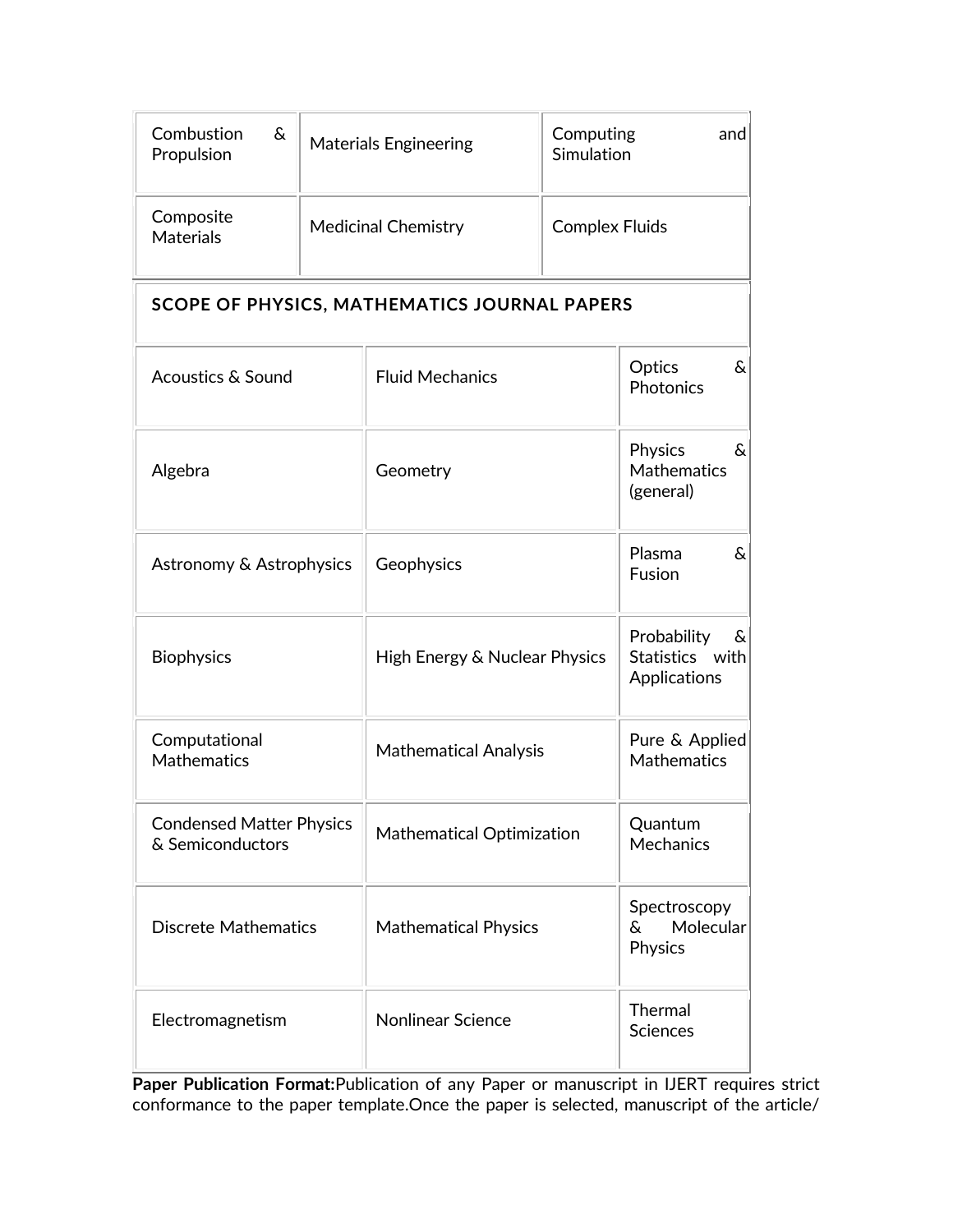| Combustion<br>&<br>Propulsion | <b>Materials Engineering</b> | and<br>Computing<br>Simulation |
|-------------------------------|------------------------------|--------------------------------|
| Composite<br><b>Materials</b> | <b>Medicinal Chemistry</b>   | <b>Complex Fluids</b>          |

# **SCOPE OF PHYSICS, MATHEMATICS JOURNAL PAPERS**

| <b>Acoustics &amp; Sound</b>                        | <b>Fluid Mechanics</b>           | Optics<br>$\delta$<br>Photonics                        |
|-----------------------------------------------------|----------------------------------|--------------------------------------------------------|
| Algebra                                             | Geometry                         | Physics<br>$\delta$<br><b>Mathematics</b><br>(general) |
| Astronomy & Astrophysics                            | Geophysics                       | Plasma<br>ଟ<br>Fusion                                  |
| <b>Biophysics</b>                                   | High Energy & Nuclear Physics    | Probability<br>&<br>Statistics with<br>Applications    |
| Computational<br><b>Mathematics</b>                 | <b>Mathematical Analysis</b>     | Pure & Applied<br><b>Mathematics</b>                   |
| <b>Condensed Matter Physics</b><br>& Semiconductors | <b>Mathematical Optimization</b> | Quantum<br><b>Mechanics</b>                            |
| <b>Discrete Mathematics</b>                         | <b>Mathematical Physics</b>      | Spectroscopy<br>Molecular<br>&<br>Physics              |
| Electromagnetism                                    | <b>Nonlinear Science</b>         | Thermal<br><b>Sciences</b>                             |

**Paper Publication Format:**Publication of any Paper or manuscript in IJERT requires strict conformance to the paper template.Once the paper is selected, manuscript of the article/